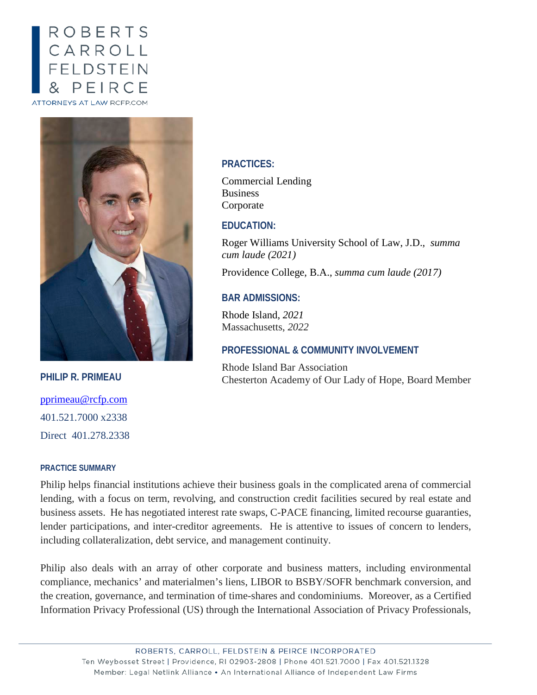# **ROBERTS** CARROLL<br>FELDSTEIN PEIRCE ATTORNEYS AT LAW RCFP.COM



**PHILIP R. PRIMEAU** [pprimeau@rcfp.com](mailto:pprimeau@rcfp.com) 401.521.7000 x2338 Direct 401.278.2338

#### **PRACTICE SUMMARY**

#### **PRACTICES:**

Commercial Lending Business Corporate

## **EDUCATION:**

Roger Williams University School of Law, J.D., *summa cum laude (2021)* 

Providence College, B.A., *summa cum laude (2017)*

## **BAR ADMISSIONS:**

Rhode Island, *2021* Massachusetts, *2022*

### **PROFESSIONAL & COMMUNITY INVOLVEMENT**

Rhode Island Bar Association Chesterton Academy of Our Lady of Hope, Board Member

Philip helps financial institutions achieve their business goals in the complicated arena of commercial lending, with a focus on term, revolving, and construction credit facilities secured by real estate and business assets. He has negotiated interest rate swaps, C-PACE financing, limited recourse guaranties, lender participations, and inter-creditor agreements. He is attentive to issues of concern to lenders, including collateralization, debt service, and management continuity.

Philip also deals with an array of other corporate and business matters, including environmental compliance, mechanics' and materialmen's liens, LIBOR to BSBY/SOFR benchmark conversion, and the creation, governance, and termination of time-shares and condominiums. Moreover, as a Certified Information Privacy Professional (US) through the International Association of Privacy Professionals,